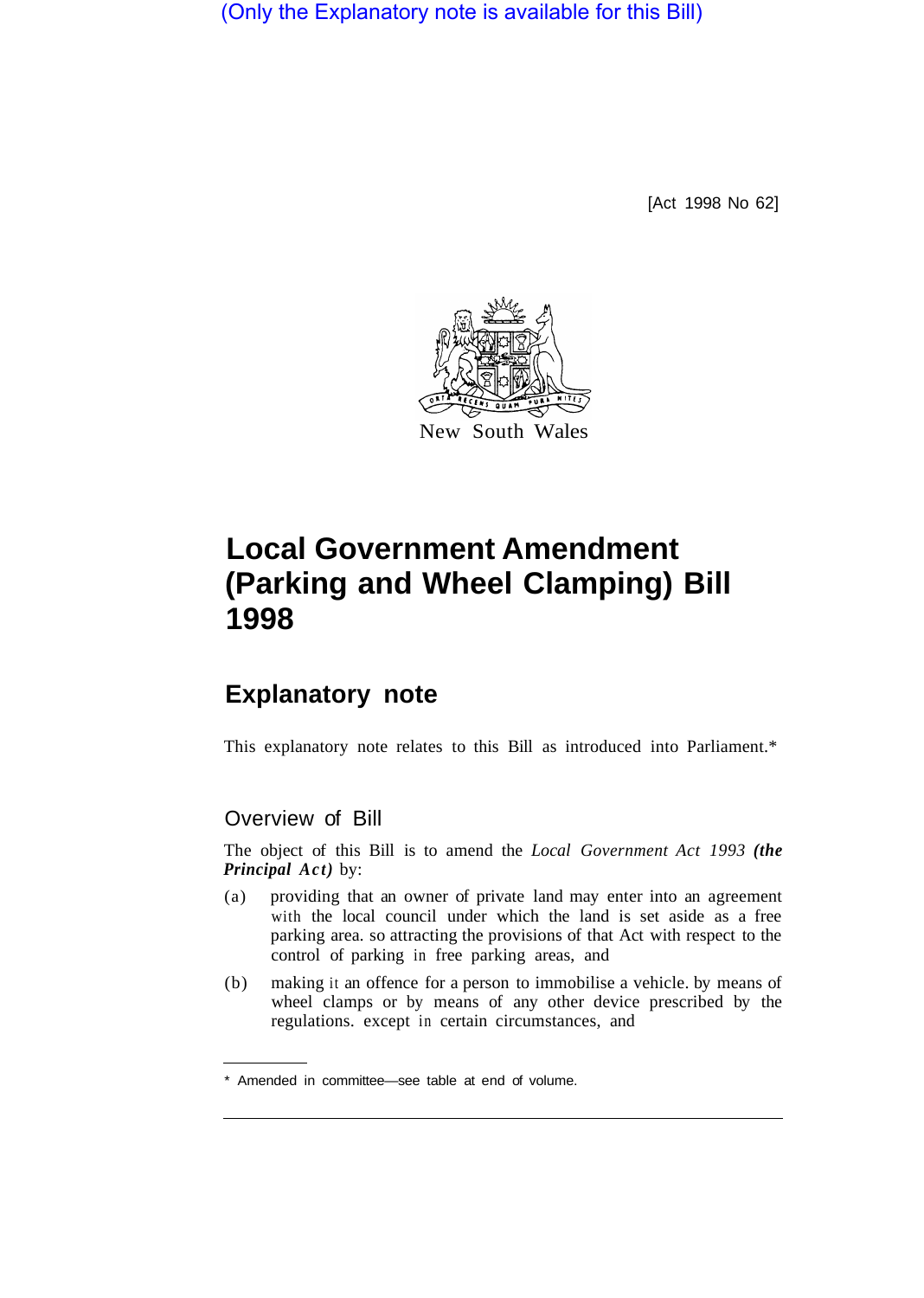(Only the Explanatory note is available for this Bill)

[Act 1998 No 62]



# **Local Government Amendment (Parking and Wheel Clamping) Bill 1998**

# **Explanatory note**

This explanatory note relates to this Bill as introduced into Parliament.\*

# Overview of Bill

The object of this Bill is to amend the *Local Government Act 1993 (the Principal Act)* by:

- (a) providing that an owner of private land may enter into an agreement with the local council under which the land is set aside as a free parking area. so attracting the provisions of that Act with respect to the control of parking in free parking areas, and
- (b) making it an offence for a person to immobilise a vehicle. by means of wheel clamps or by means of any other device prescribed by the regulations. except in certain circumstances, and

<sup>\*</sup> Amended in committee—see table at end of volume.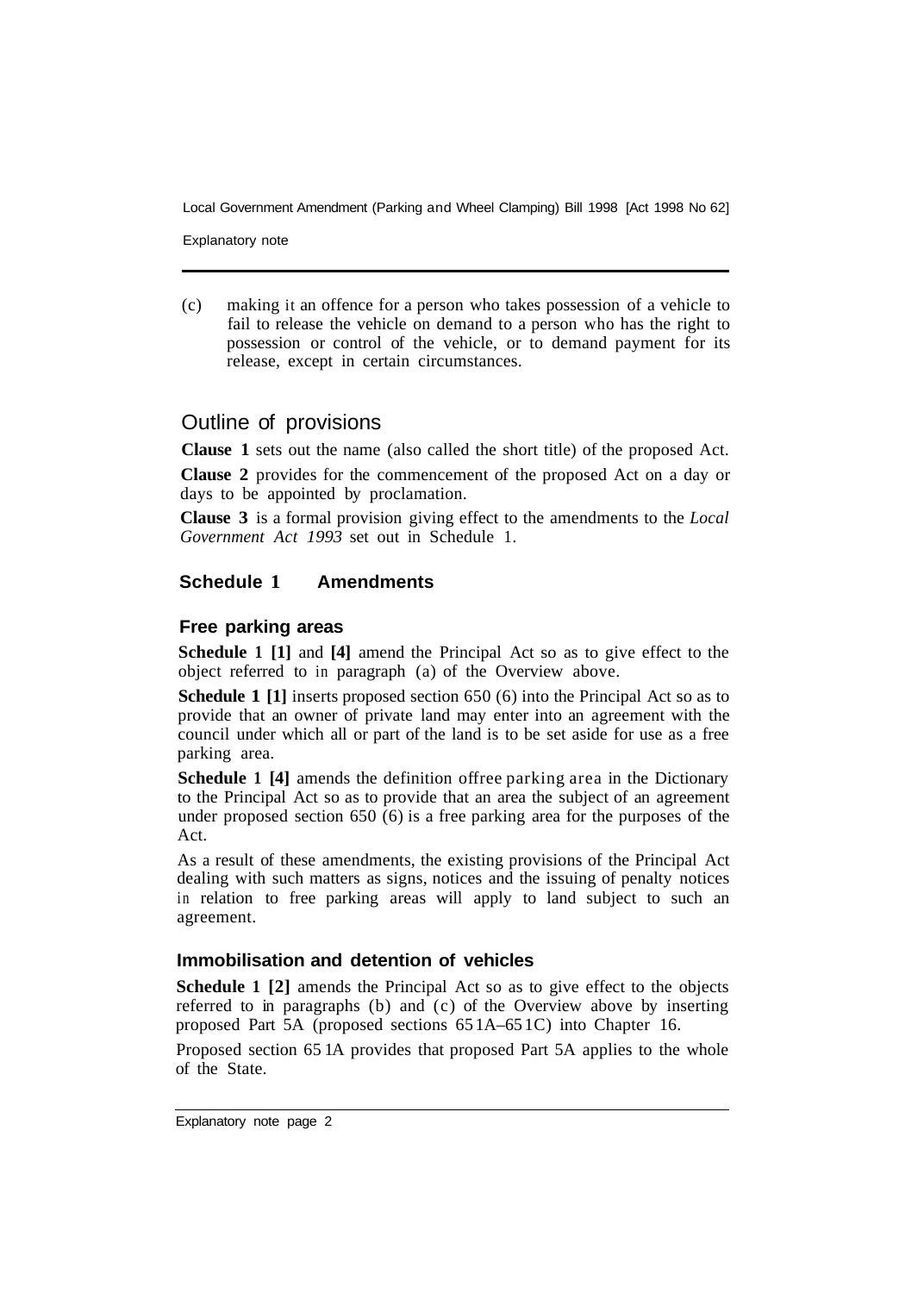Local Government Amendment (Parking and Wheel Clamping) Bill 1998 [Act 1998 No 62]

Explanatory note

(c) making it an offence for a person who takes possession of a vehicle to fail to release the vehicle on demand to a person who has the right to possession or control of the vehicle, or to demand payment for its release, except in certain circumstances.

## Outline of provisions

**Clause 1** sets out the name (also called the short title) of the proposed Act.

**Clause 2** provides for the commencement of the proposed Act on a day or days to be appointed by proclamation.

**Clause 3** is a formal provision giving effect to the amendments to the *Local Government Act 1993* set out in Schedule 1.

### **Schedule 1 Amendments**

### **Free parking areas**

**Schedule 1 [1]** and **[4]** amend the Principal Act so as to give effect to the object referred to in paragraph (a) of the Overview above.

**Schedule 1 [1]** inserts proposed section 650 (6) into the Principal Act so as to provide that an owner of private land may enter into an agreement with the council under which all or part of the land is to be set aside for use as a free parking area.

**Schedule 1 [4]** amends the definition offree parking area in the Dictionary to the Principal Act so as to provide that an area the subject of an agreement under proposed section 650 (6) is a free parking area for the purposes of the Act.

As a result of these amendments, the existing provisions of the Principal Act dealing with such matters as signs, notices and the issuing of penalty notices in relation to free parking areas will apply to land subject to such an agreement.

### **Immobilisation and detention of vehicles**

**Schedule 1 [2]** amends the Principal Act so as to give effect to the objects referred to in paragraphs (b) and (c) of the Overview above by inserting proposed Part 5A (proposed sections 65 1A–65 1C) into Chapter 16.

Proposed section 65 1A provides that proposed Part 5A applies to the whole of the State.